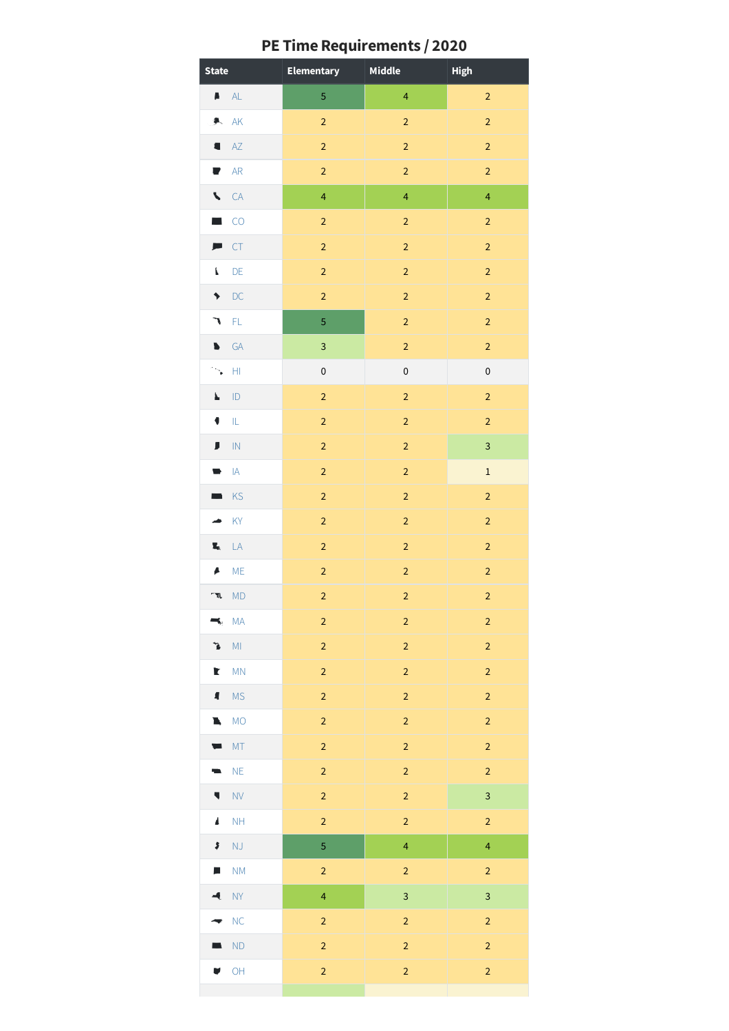|  | PE Time Requirements / 2020 |  |
|--|-----------------------------|--|
|  |                             |  |

| <b>State</b>                    | Elementary              | Middle                  | <b>High</b>             |
|---------------------------------|-------------------------|-------------------------|-------------------------|
| $\blacksquare$ AL               | $\sqrt{5}$              | $\overline{4}$          | $\mathbf 2$             |
| AK<br>氡                         | $\overline{2}$          | $\overline{2}$          | $\overline{2}$          |
| AZ                              | $\overline{2}$          | $\mathbf 2$             | $\mathbf 2$             |
| AR<br>▼                         | $\mathbf 2$             | $\overline{\mathbf{2}}$ | $\overline{a}$          |
| $\blacktriangleright$<br>CA     | $\overline{\mathbf{4}}$ | $\overline{4}$          | $\overline{\mathbf{4}}$ |
| CO<br><b>A</b>                  | $\mathbf 2$             | $\mathbf 2$             | $\overline{2}$          |
| CT<br>声                         | $\mathbf 2$             | $\overline{2}$          | $\overline{2}$          |
| L<br>DE                         | $\mathbf 2$             | $\overline{2}$          | $\overline{2}$          |
| DC<br>,                         | $\mathbf 2$             | $\mathbf 2$             | $\overline{\mathbf{c}}$ |
| $\mathsf{FL}$<br>٦              | 5                       | $\mathbf 2$             | $\mathbf 2$             |
| GA<br>b                         | 3                       | $\mathbf 2$             | $\overline{a}$          |
| H <sub>1</sub><br>$\ddot{\phi}$ | $\pmb{0}$               | $\pmb{0}$               | $\pmb{0}$               |
| ID<br>Ł                         | $\overline{2}$          | $\mathbf 2$             | $\overline{c}$          |
| $\mathsf{IL}$<br>٠              | $\mathbf 2$             | $\mathbf 2$             | $\overline{a}$          |
| J<br>$\ensuremath{\mathsf{IN}}$ | $\mathbf 2$             | $\mathbf 2$             | $\overline{\mathbf{3}}$ |
| $\mathsf{IA}$<br>₩              | $\mathbf 2$             | $\overline{2}$          | $\mathbf 1$             |
| KS                              | $\mathbf 2$             | $\mathbf 2$             | $\overline{2}$          |
| KY                              | $\overline{c}$          | $\overline{2}$          | $\overline{2}$          |
| Х,<br>LA                        | $\overline{\mathbf{c}}$ | $\mathbf 2$             | $\overline{\mathbf{c}}$ |
| <b>ME</b><br>A                  | $\overline{2}$          | $\mathbf 2$             | $\overline{c}$          |
| <b>MD</b><br>્ય                 | $\mathbf 2$             | $\mathbf 2$             | $\overline{2}$          |
| <b>MA</b>                       | $\mathbf 2$             | $\mathbf 2$             | $\overline{2}$          |
| $\mathsf{M}\mathsf{I}$<br>7     | $\overline{c}$          | $\overline{c}$          | $\overline{2}$          |
| MN<br>Ł                         | $\overline{c}$          | $\overline{c}$          | $\overline{\mathbf{c}}$ |
| <b>MS</b><br>$\blacksquare$     | $\mathbf 2$             | $\mathbf 2$             | $\mathbf 2$             |
| <b>MO</b><br>ī,                 | $\overline{2}$          | $\mathbf 2$             | $\overline{2}$          |
| MT                              | $\mathbf 2$             | $\mathbf 2$             | $\overline{c}$          |
| NE                              | $\overline{c}$          | $\mathbf 2$             | $\overline{c}$          |
| <b>NV</b><br>۷                  | $\overline{c}$          | $\overline{2}$          | 3                       |
| NH<br>4                         | $\mathbf 2$             | $\mathbf 2$             | $\overline{a}$          |
| NJ<br>\$                        | 5                       | $\overline{\mathbf{4}}$ | $\overline{\mathbf{4}}$ |
| NM<br>F                         | $\mathbf 2$             | $\overline{c}$          | $\overline{a}$          |
| <b>NY</b>                       | $\overline{4}$          | $\overline{3}$          | 3                       |
| NC                              | $\overline{\mathbf{c}}$ | $\overline{2}$          | $\overline{c}$          |
| <b>ND</b>                       | $\mathbf 2$             | $\mathbf 2$             | $\overline{c}$          |
| OH                              | $\overline{c}$          | $\mathbf 2$             | $\overline{c}$          |